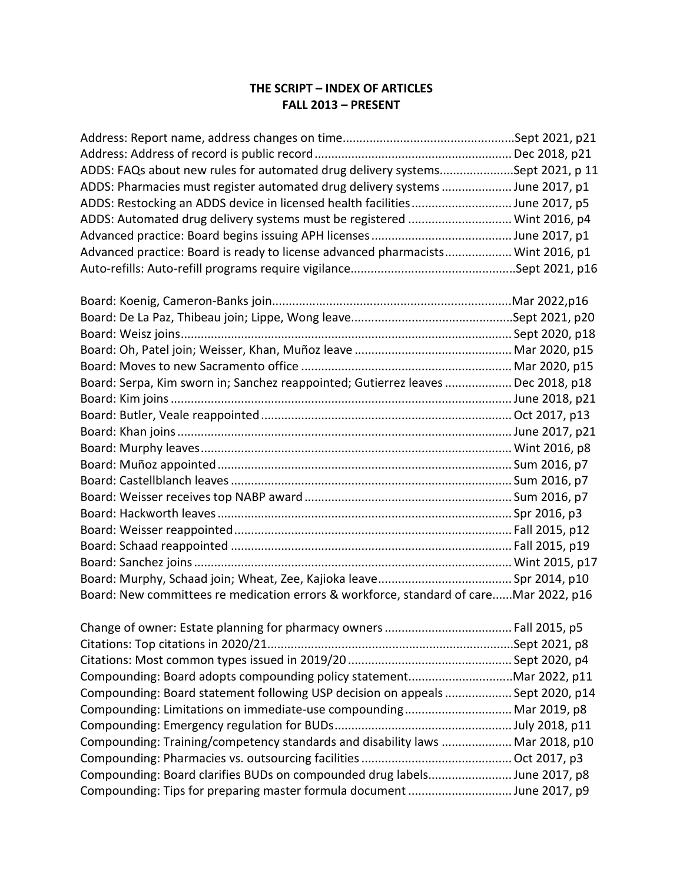## **THE SCRIPT – INDEX OF ARTICLES FALL 2013 – PRESENT**

| ADDS: FAQs about new rules for automated drug delivery systemsSept 2021, p 11   |  |
|---------------------------------------------------------------------------------|--|
| ADDS: Pharmacies must register automated drug delivery systems  June 2017, p1   |  |
| ADDS: Restocking an ADDS device in licensed health facilitiesJune 2017, p5      |  |
| ADDS: Automated drug delivery systems must be registered  Wint 2016, p4         |  |
|                                                                                 |  |
| Advanced practice: Board is ready to license advanced pharmacists Wint 2016, p1 |  |
|                                                                                 |  |

| Board: Serpa, Kim sworn in; Sanchez reappointed; Gutierrez leaves  Dec 2018, p18      |  |
|---------------------------------------------------------------------------------------|--|
|                                                                                       |  |
|                                                                                       |  |
|                                                                                       |  |
|                                                                                       |  |
|                                                                                       |  |
|                                                                                       |  |
|                                                                                       |  |
|                                                                                       |  |
|                                                                                       |  |
|                                                                                       |  |
|                                                                                       |  |
|                                                                                       |  |
| Board: New committees re medication errors & workforce, standard of careMar 2022, p16 |  |

| Compounding: Board statement following USP decision on appeals  Sept 2020, p14 |  |
|--------------------------------------------------------------------------------|--|
| Compounding: Limitations on immediate-use compounding Mar 2019, p8             |  |
|                                                                                |  |
| Compounding: Training/competency standards and disability laws  Mar 2018, p10  |  |
|                                                                                |  |
| Compounding: Board clarifies BUDs on compounded drug labelsJune 2017, p8       |  |
| Compounding: Tips for preparing master formula document June 2017, p9          |  |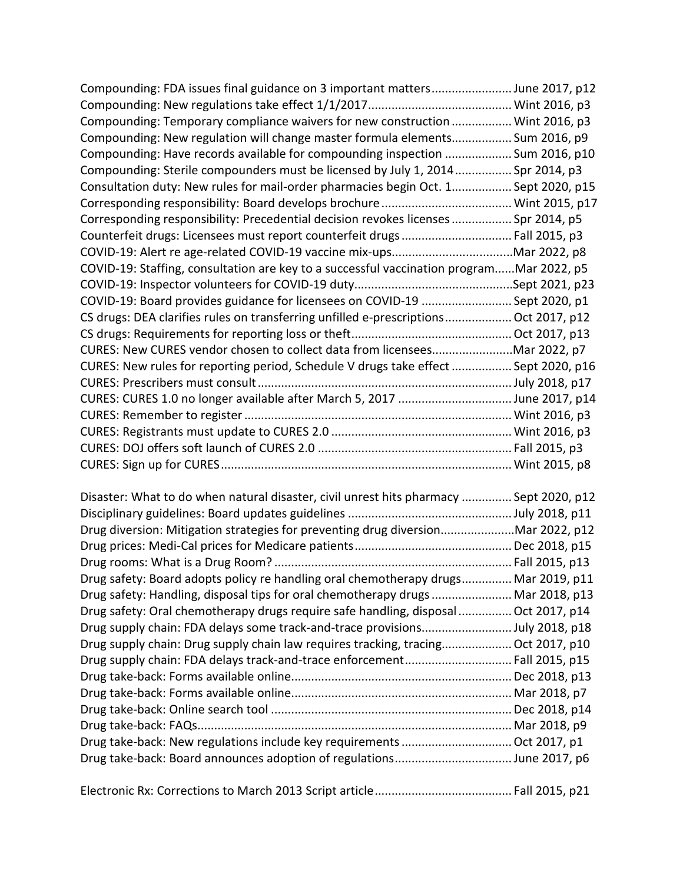| Compounding: FDA issues final guidance on 3 important mattersJune 2017, p12              |  |
|------------------------------------------------------------------------------------------|--|
|                                                                                          |  |
| Compounding: Temporary compliance waivers for new construction  Wint 2016, p3            |  |
| Compounding: New regulation will change master formula elements Sum 2016, p9             |  |
| Compounding: Have records available for compounding inspection  Sum 2016, p10            |  |
| Compounding: Sterile compounders must be licensed by July 1, 2014 Spr 2014, p3           |  |
| Consultation duty: New rules for mail-order pharmacies begin Oct. 1 Sept 2020, p15       |  |
|                                                                                          |  |
| Corresponding responsibility: Precedential decision revokes licenses  Spr 2014, p5       |  |
| Counterfeit drugs: Licensees must report counterfeit drugs Fall 2015, p3                 |  |
|                                                                                          |  |
| COVID-19: Staffing, consultation are key to a successful vaccination programMar 2022, p5 |  |
|                                                                                          |  |
| COVID-19: Board provides guidance for licensees on COVID-19  Sept 2020, p1               |  |
| CS drugs: DEA clarifies rules on transferring unfilled e-prescriptions Oct 2017, p12     |  |
|                                                                                          |  |
| CURES: New CURES vendor chosen to collect data from licenseesMar 2022, p7                |  |
| CURES: New rules for reporting period, Schedule V drugs take effect  Sept 2020, p16      |  |
|                                                                                          |  |
| CURES: CURES 1.0 no longer available after March 5, 2017 June 2017, p14                  |  |
|                                                                                          |  |
|                                                                                          |  |
|                                                                                          |  |
|                                                                                          |  |

| Disaster: What to do when natural disaster, civil unrest hits pharmacy            | Sept 2020, p12   |
|-----------------------------------------------------------------------------------|------------------|
|                                                                                   | . July 2018, p11 |
| Drug diversion: Mitigation strategies for preventing drug diversion               | Mar 2022, p12    |
|                                                                                   | Dec 2018, p15    |
|                                                                                   | Fall 2015, p13   |
| Drug safety: Board adopts policy re handling oral chemotherapy drugs              | Mar 2019, p11    |
| Drug safety: Handling, disposal tips for oral chemotherapy drugs                  | Mar 2018, p13    |
| Drug safety: Oral chemotherapy drugs require safe handling, disposal              | Oct 2017, p14    |
| Drug supply chain: FDA delays some track-and-trace provisions                     | July 2018, p18   |
| Drug supply chain: Drug supply chain law requires tracking, tracing Oct 2017, p10 |                  |
| Drug supply chain: FDA delays track-and-trace enforcement Fall 2015, p15          |                  |
|                                                                                   | Dec 2018, p13    |
|                                                                                   | Mar 2018, p7     |
|                                                                                   | Dec 2018, p14    |
|                                                                                   | Mar 2018, p9     |
|                                                                                   |                  |
|                                                                                   |                  |
|                                                                                   |                  |

|--|--|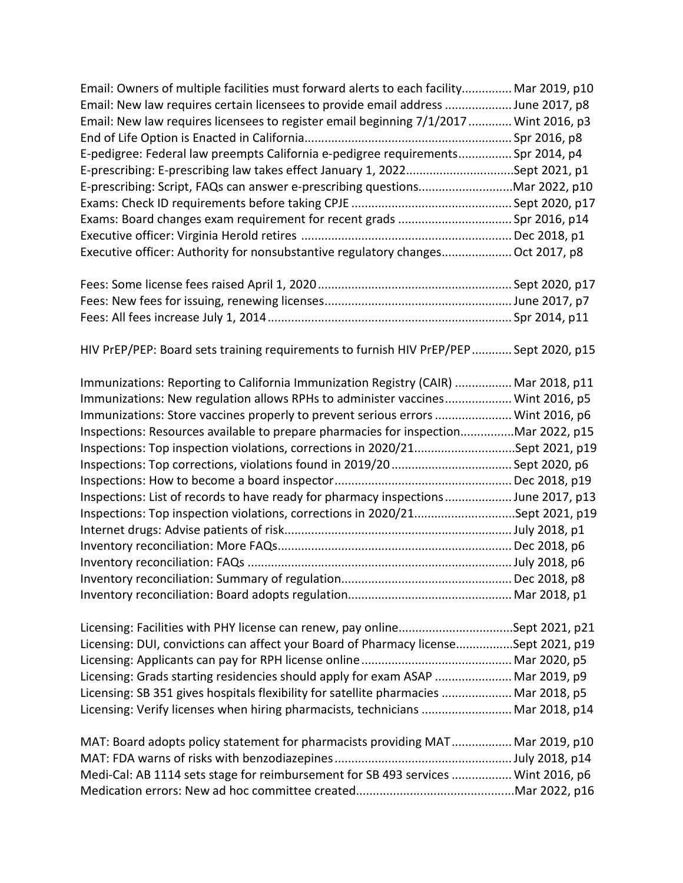| Email: Owners of multiple facilities must forward alerts to each facility Mar 2019, p10 |  |
|-----------------------------------------------------------------------------------------|--|
| Email: New law requires certain licensees to provide email address  June 2017, p8       |  |
| Email: New law requires licensees to register email beginning 7/1/2017  Wint 2016, p3   |  |
|                                                                                         |  |
| E-pedigree: Federal law preempts California e-pedigree requirements Spr 2014, p4        |  |
| E-prescribing: E-prescribing law takes effect January 1, 2022Sept 2021, p1              |  |
| E-prescribing: Script, FAQs can answer e-prescribing questionsMar 2022, p10             |  |
|                                                                                         |  |
|                                                                                         |  |
|                                                                                         |  |
| Executive officer: Authority for nonsubstantive regulatory changes Oct 2017, p8         |  |

HIV PrEP/PEP: Board sets training requirements to furnish HIV PrEP/PEP............ Sept 2020, p15

| Immunizations: Reporting to California Immunization Registry (CAIR)  Mar 2018, p11 |               |
|------------------------------------------------------------------------------------|---------------|
| Immunizations: New regulation allows RPHs to administer vaccines Wint 2016, p5     |               |
| Immunizations: Store vaccines properly to prevent serious errors  Wint 2016, p6    |               |
| Inspections: Resources available to prepare pharmacies for inspectionMar 2022, p15 |               |
| Inspections: Top inspection violations, corrections in 2020/21Sept 2021, p19       |               |
|                                                                                    | Sept 2020, p6 |
|                                                                                    |               |
| Inspections: List of records to have ready for pharmacy inspections June 2017, p13 |               |
| Inspections: Top inspection violations, corrections in 2020/21Sept 2021, p19       |               |
|                                                                                    |               |
|                                                                                    |               |
|                                                                                    |               |
|                                                                                    | .Dec 2018, p8 |
|                                                                                    |               |

| Licensing: Facilities with PHY license can renew, pay onlineSept 2021, p21           |  |
|--------------------------------------------------------------------------------------|--|
| Licensing: DUI, convictions can affect your Board of Pharmacy licenseSept 2021, p19  |  |
|                                                                                      |  |
| Licensing: Grads starting residencies should apply for exam ASAP  Mar 2019, p9       |  |
| Licensing: SB 351 gives hospitals flexibility for satellite pharmacies  Mar 2018, p5 |  |
| Licensing: Verify licenses when hiring pharmacists, technicians  Mar 2018, p14       |  |

| MAT: Board adopts policy statement for pharmacists providing MAT Mar 2019, p10    |  |
|-----------------------------------------------------------------------------------|--|
|                                                                                   |  |
| Medi-Cal: AB 1114 sets stage for reimbursement for SB 493 services  Wint 2016, p6 |  |
|                                                                                   |  |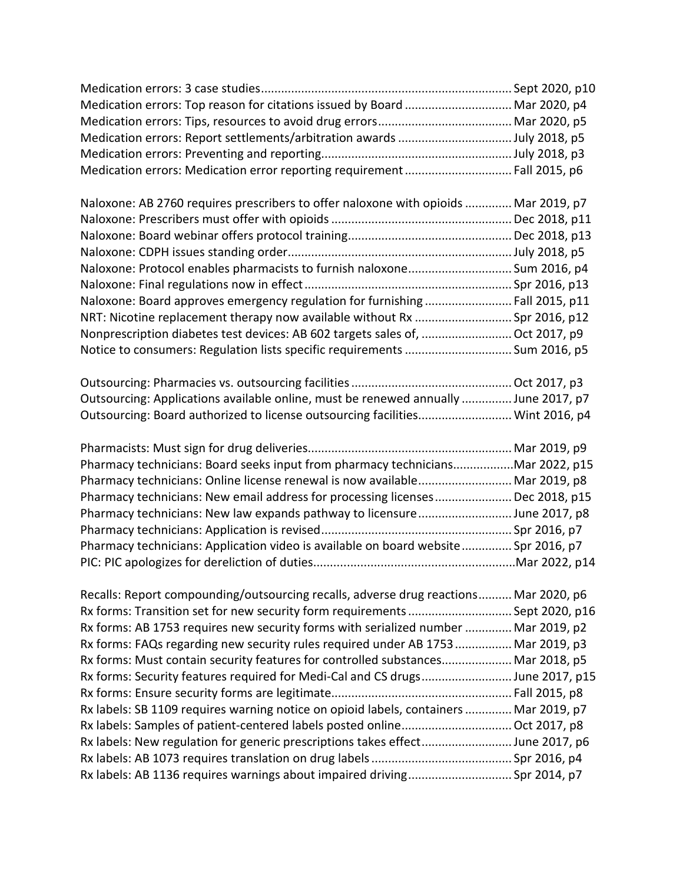| Medication errors: Top reason for citations issued by Board  Mar 2020, p4             |  |
|---------------------------------------------------------------------------------------|--|
|                                                                                       |  |
| Medication errors: Report settlements/arbitration awards July 2018, p5                |  |
|                                                                                       |  |
| Medication errors: Medication error reporting requirement  Fall 2015, p6              |  |
| Naloxone: AB 2760 requires prescribers to offer naloxone with opioids  Mar 2019, p7   |  |
|                                                                                       |  |
|                                                                                       |  |
|                                                                                       |  |
| Naloxone: Protocol enables pharmacists to furnish naloxone Sum 2016, p4               |  |
|                                                                                       |  |
| Naloxone: Board approves emergency regulation for furnishing  Fall 2015, p11          |  |
| NRT: Nicotine replacement therapy now available without Rx  Spr 2016, p12             |  |
| Nonprescription diabetes test devices: AB 602 targets sales of,  Oct 2017, p9         |  |
| Notice to consumers: Regulation lists specific requirements  Sum 2016, p5             |  |
|                                                                                       |  |
| Outsourcing: Applications available online, must be renewed annually  June 2017, p7   |  |
| Outsourcing: Board authorized to license outsourcing facilities Wint 2016, p4         |  |
|                                                                                       |  |
| Pharmacy technicians: Board seeks input from pharmacy techniciansMar 2022, p15        |  |
| Pharmacy technicians: Online license renewal is now available Mar 2019, p8            |  |
| Pharmacy technicians: New email address for processing licenses Dec 2018, p15         |  |
| Pharmacy technicians: New law expands pathway to licensureJune 2017, p8               |  |
|                                                                                       |  |
| Pharmacy technicians: Application video is available on board website Spr 2016, p7    |  |
|                                                                                       |  |
| Recalls: Report compounding/outsourcing recalls, adverse drug reactions Mar 2020, p6  |  |
| Rx forms: Transition set for new security form requirements  Sept 2020, p16           |  |
| Rx forms: AB 1753 requires new security forms with serialized number  Mar 2019, p2    |  |
| Rx forms: FAQs regarding new security rules required under AB 1753  Mar 2019, p3      |  |
| Rx forms: Must contain security features for controlled substances Mar 2018, p5       |  |
| Rx forms: Security features required for Medi-Cal and CS drugsJune 2017, p15          |  |
|                                                                                       |  |
| Rx labels: SB 1109 requires warning notice on opioid labels, containers  Mar 2019, p7 |  |
|                                                                                       |  |
| Rx labels: New regulation for generic prescriptions takes effectJune 2017, p6         |  |
|                                                                                       |  |
| Rx labels: AB 1136 requires warnings about impaired driving Spr 2014, p7              |  |